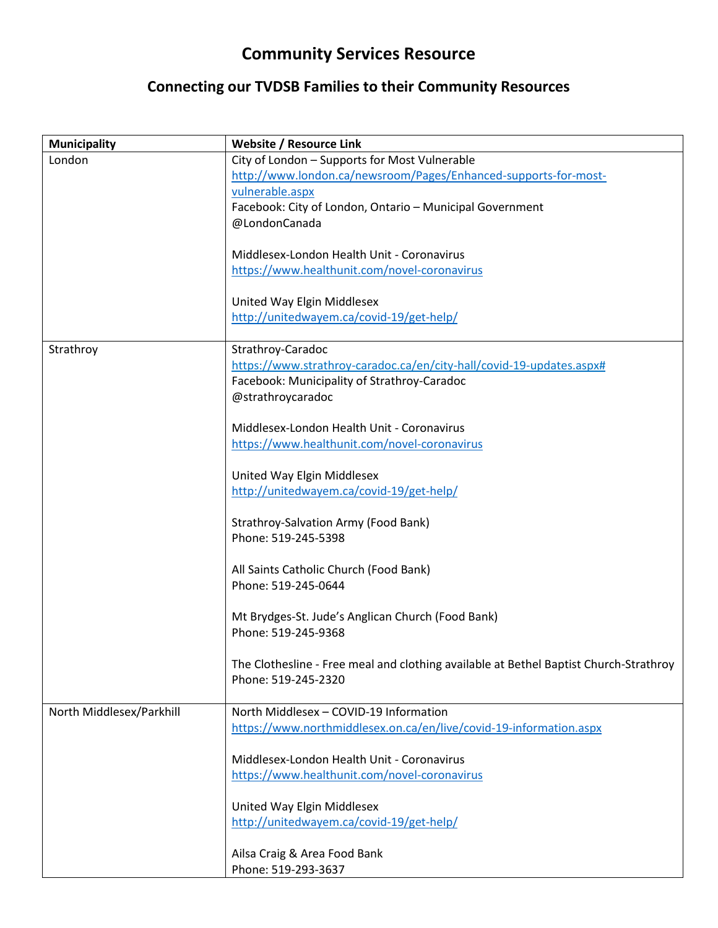## **Community Services Resource**

## **Connecting our TVDSB Families to their Community Resources**

| <b>Municipality</b>      | <b>Website / Resource Link</b>                                                        |
|--------------------------|---------------------------------------------------------------------------------------|
| London                   | City of London - Supports for Most Vulnerable                                         |
|                          | http://www.london.ca/newsroom/Pages/Enhanced-supports-for-most-                       |
|                          | vulnerable.aspx                                                                       |
|                          | Facebook: City of London, Ontario - Municipal Government                              |
|                          | @LondonCanada                                                                         |
|                          | Middlesex-London Health Unit - Coronavirus                                            |
|                          | https://www.healthunit.com/novel-coronavirus                                          |
|                          |                                                                                       |
|                          | United Way Elgin Middlesex                                                            |
|                          | http://unitedwayem.ca/covid-19/get-help/                                              |
|                          |                                                                                       |
| Strathroy                | Strathroy-Caradoc                                                                     |
|                          | https://www.strathroy-caradoc.ca/en/city-hall/covid-19-updates.aspx#                  |
|                          | Facebook: Municipality of Strathroy-Caradoc                                           |
|                          | @strathroycaradoc                                                                     |
|                          | Middlesex-London Health Unit - Coronavirus                                            |
|                          | https://www.healthunit.com/novel-coronavirus                                          |
|                          |                                                                                       |
|                          | United Way Elgin Middlesex                                                            |
|                          | http://unitedwayem.ca/covid-19/get-help/                                              |
|                          |                                                                                       |
|                          | Strathroy-Salvation Army (Food Bank)                                                  |
|                          | Phone: 519-245-5398                                                                   |
|                          |                                                                                       |
|                          | All Saints Catholic Church (Food Bank)                                                |
|                          | Phone: 519-245-0644                                                                   |
|                          | Mt Brydges-St. Jude's Anglican Church (Food Bank)                                     |
|                          | Phone: 519-245-9368                                                                   |
|                          |                                                                                       |
|                          | The Clothesline - Free meal and clothing available at Bethel Baptist Church-Strathroy |
|                          | Phone: 519-245-2320                                                                   |
|                          |                                                                                       |
| North Middlesex/Parkhill | North Middlesex - COVID-19 Information                                                |
|                          | https://www.northmiddlesex.on.ca/en/live/covid-19-information.aspx                    |
|                          |                                                                                       |
|                          | Middlesex-London Health Unit - Coronavirus                                            |
|                          | https://www.healthunit.com/novel-coronavirus                                          |
|                          | United Way Elgin Middlesex                                                            |
|                          | http://unitedwayem.ca/covid-19/get-help/                                              |
|                          |                                                                                       |
|                          | Ailsa Craig & Area Food Bank                                                          |
|                          | Phone: 519-293-3637                                                                   |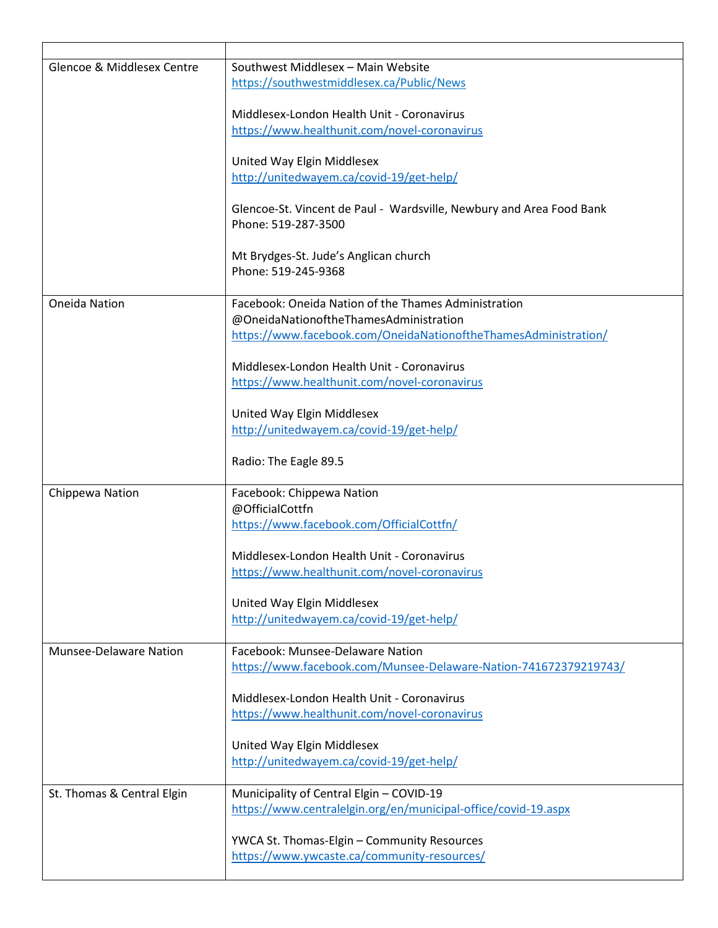| Glencoe & Middlesex Centre    | Southwest Middlesex - Main Website<br>https://southwestmiddlesex.ca/Public/News             |
|-------------------------------|---------------------------------------------------------------------------------------------|
|                               | Middlesex-London Health Unit - Coronavirus<br>https://www.healthunit.com/novel-coronavirus  |
|                               | United Way Elgin Middlesex<br>http://unitedwayem.ca/covid-19/get-help/                      |
|                               | Glencoe-St. Vincent de Paul - Wardsville, Newbury and Area Food Bank<br>Phone: 519-287-3500 |
|                               | Mt Brydges-St. Jude's Anglican church<br>Phone: 519-245-9368                                |
| <b>Oneida Nation</b>          | Facebook: Oneida Nation of the Thames Administration                                        |
|                               | @OneidaNationoftheThamesAdministration                                                      |
|                               | https://www.facebook.com/OneidaNationoftheThamesAdministration/                             |
|                               |                                                                                             |
|                               | Middlesex-London Health Unit - Coronavirus<br>https://www.healthunit.com/novel-coronavirus  |
|                               |                                                                                             |
|                               | United Way Elgin Middlesex                                                                  |
|                               | http://unitedwayem.ca/covid-19/get-help/                                                    |
|                               | Radio: The Eagle 89.5                                                                       |
| Chippewa Nation               | Facebook: Chippewa Nation                                                                   |
|                               | @OfficialCottfn                                                                             |
|                               | https://www.facebook.com/OfficialCottfn/                                                    |
|                               | Middlesex-London Health Unit - Coronavirus                                                  |
|                               | https://www.healthunit.com/novel-coronavirus                                                |
|                               |                                                                                             |
|                               | United Way Elgin Middlesex                                                                  |
|                               | http://unitedwayem.ca/covid-19/get-help/                                                    |
| <b>Munsee-Delaware Nation</b> | Facebook: Munsee-Delaware Nation                                                            |
|                               | https://www.facebook.com/Munsee-Delaware-Nation-741672379219743/                            |
|                               |                                                                                             |
|                               | Middlesex-London Health Unit - Coronavirus                                                  |
|                               | https://www.healthunit.com/novel-coronavirus                                                |
|                               | United Way Elgin Middlesex                                                                  |
|                               | http://unitedwayem.ca/covid-19/get-help/                                                    |
| St. Thomas & Central Elgin    | Municipality of Central Elgin - COVID-19                                                    |
|                               | https://www.centralelgin.org/en/municipal-office/covid-19.aspx                              |
|                               |                                                                                             |
|                               | YWCA St. Thomas-Elgin - Community Resources                                                 |
|                               | https://www.ywcaste.ca/community-resources/                                                 |
|                               |                                                                                             |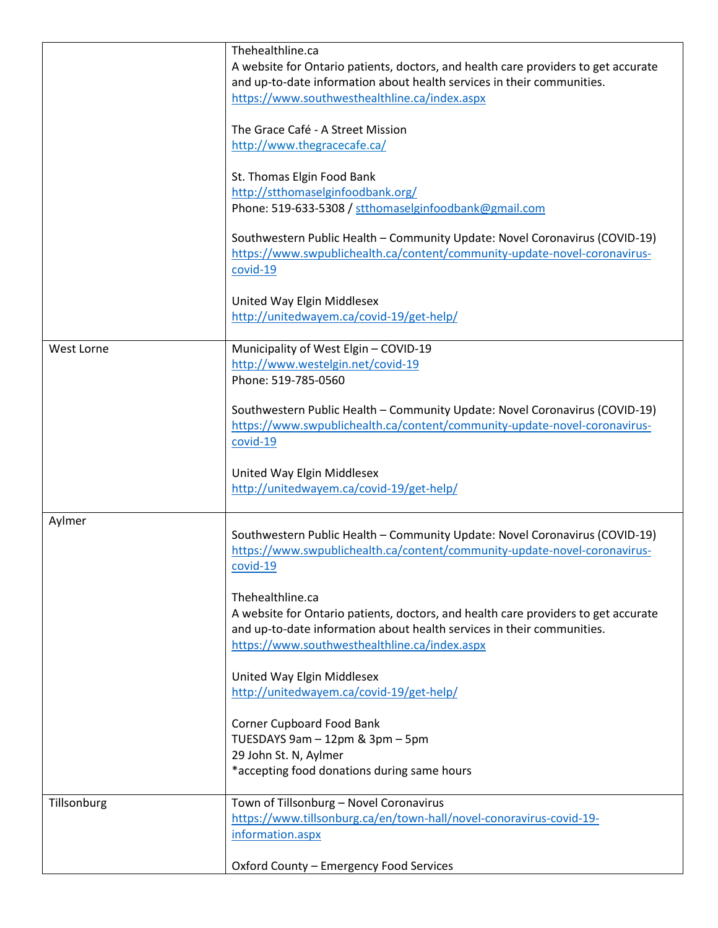|                   | Thehealthline.ca                                                                   |
|-------------------|------------------------------------------------------------------------------------|
|                   | A website for Ontario patients, doctors, and health care providers to get accurate |
|                   | and up-to-date information about health services in their communities.             |
|                   | https://www.southwesthealthline.ca/index.aspx                                      |
|                   |                                                                                    |
|                   | The Grace Café - A Street Mission                                                  |
|                   | http://www.thegracecafe.ca/                                                        |
|                   |                                                                                    |
|                   | St. Thomas Elgin Food Bank                                                         |
|                   | http://stthomaselginfoodbank.org/                                                  |
|                   | Phone: 519-633-5308 / stthomaselginfoodbank@gmail.com                              |
|                   |                                                                                    |
|                   | Southwestern Public Health - Community Update: Novel Coronavirus (COVID-19)        |
|                   | https://www.swpublichealth.ca/content/community-update-novel-coronavirus-          |
|                   | covid-19                                                                           |
|                   |                                                                                    |
|                   | United Way Elgin Middlesex                                                         |
|                   | http://unitedwayem.ca/covid-19/get-help/                                           |
|                   |                                                                                    |
| <b>West Lorne</b> | Municipality of West Elgin - COVID-19                                              |
|                   | http://www.westelgin.net/covid-19                                                  |
|                   | Phone: 519-785-0560                                                                |
|                   |                                                                                    |
|                   | Southwestern Public Health - Community Update: Novel Coronavirus (COVID-19)        |
|                   | https://www.swpublichealth.ca/content/community-update-novel-coronavirus-          |
|                   | covid-19                                                                           |
|                   |                                                                                    |
|                   |                                                                                    |
|                   | United Way Elgin Middlesex                                                         |
|                   | http://unitedwayem.ca/covid-19/get-help/                                           |
|                   |                                                                                    |
| Aylmer            |                                                                                    |
|                   | Southwestern Public Health - Community Update: Novel Coronavirus (COVID-19)        |
|                   | https://www.swpublichealth.ca/content/community-update-novel-coronavirus-          |
|                   | $covid-19$                                                                         |
|                   |                                                                                    |
|                   | Thehealthline.ca                                                                   |
|                   | A website for Ontario patients, doctors, and health care providers to get accurate |
|                   | and up-to-date information about health services in their communities.             |
|                   | https://www.southwesthealthline.ca/index.aspx                                      |
|                   |                                                                                    |
|                   | United Way Elgin Middlesex                                                         |
|                   | http://unitedwayem.ca/covid-19/get-help/                                           |
|                   |                                                                                    |
|                   | Corner Cupboard Food Bank                                                          |
|                   | TUESDAYS 9am - 12pm & 3pm - 5pm                                                    |
|                   | 29 John St. N, Aylmer                                                              |
|                   | *accepting food donations during same hours                                        |
|                   |                                                                                    |
| Tillsonburg       | Town of Tillsonburg - Novel Coronavirus                                            |
|                   | https://www.tillsonburg.ca/en/town-hall/novel-conoravirus-covid-19-                |
|                   | information.aspx                                                                   |
|                   | Oxford County - Emergency Food Services                                            |